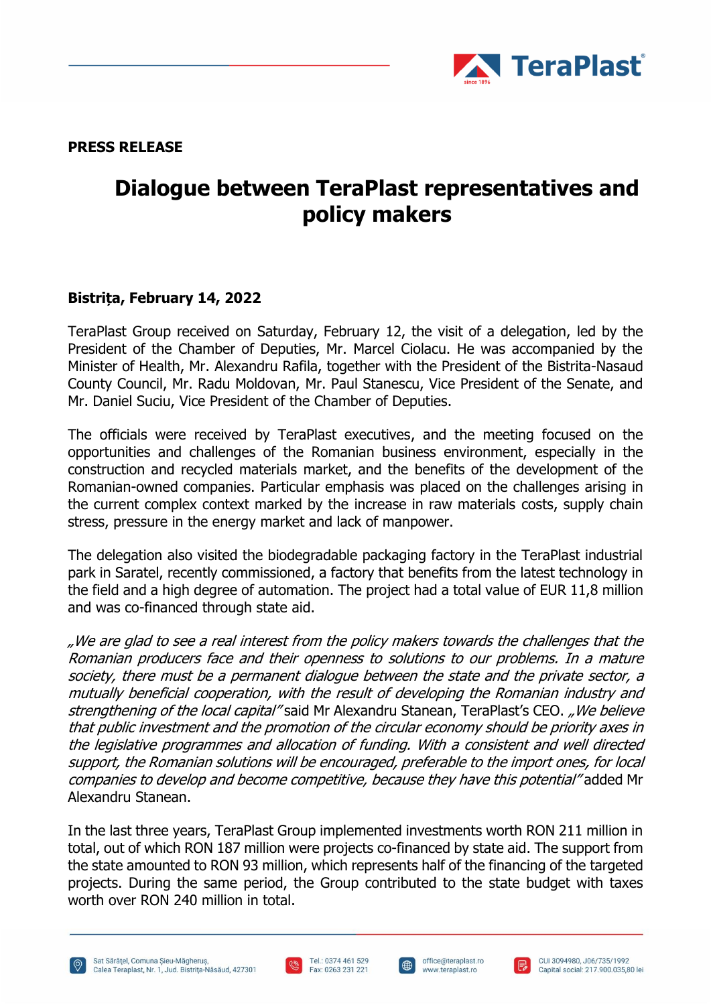

**PRESS RELEASE**

## **Dialogue between TeraPlast representatives and policy makers**

## **Bistrița, February 14, 2022**

TeraPlast Group received on Saturday, February 12, the visit of a delegation, led by the President of the Chamber of Deputies, Mr. Marcel Ciolacu. He was accompanied by the Minister of Health, Mr. Alexandru Rafila, together with the President of the Bistrita-Nasaud County Council, Mr. Radu Moldovan, Mr. Paul Stanescu, Vice President of the Senate, and Mr. Daniel Suciu, Vice President of the Chamber of Deputies.

The officials were received by TeraPlast executives, and the meeting focused on the opportunities and challenges of the Romanian business environment, especially in the construction and recycled materials market, and the benefits of the development of the Romanian-owned companies. Particular emphasis was placed on the challenges arising in the current complex context marked by the increase in raw materials costs, supply chain stress, pressure in the energy market and lack of manpower.

The delegation also visited the biodegradable packaging factory in the TeraPlast industrial park in Saratel, recently commissioned, a factory that benefits from the latest technology in the field and a high degree of automation. The project had a total value of EUR 11,8 million and was co-financed through state aid.

"We are glad to see a real interest from the policy makers towards the challenges that the Romanian producers face and their openness to solutions to our problems. In a mature society, there must be a permanent dialogue between the state and the private sector, a mutually beneficial cooperation, with the result of developing the Romanian industry and strengthening of the local capital" said Mr Alexandru Stanean, TeraPlast's CEO. "We believe that public investment and the promotion of the circular economy should be priority axes in the legislative programmes and allocation of funding. With a consistent and well directed support, the Romanian solutions will be encouraged, preferable to the import ones, for local companies to develop and become competitive, because they have this potential" added Mr Alexandru Stanean.

In the last three years, TeraPlast Group implemented investments worth RON 211 million in total, out of which RON 187 million were projects co-financed by state aid. The support from the state amounted to RON 93 million, which represents half of the financing of the targeted projects. During the same period, the Group contributed to the state budget with taxes worth over RON 240 million in total.





 $\bigoplus$